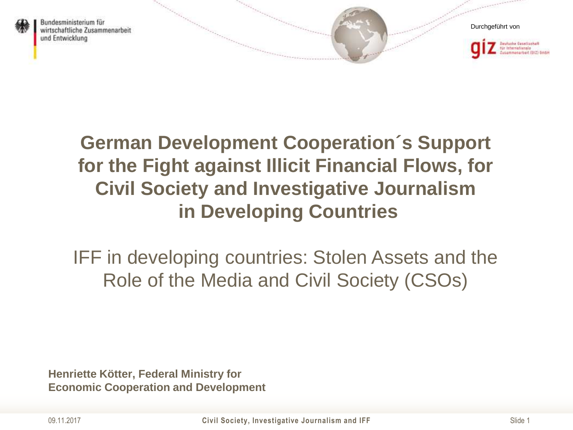



### **German Development Cooperation´s Support for the Fight against Illicit Financial Flows, for Civil Society and Investigative Journalism in Developing Countries**

IFF in developing countries: Stolen Assets and the Role of the Media and Civil Society (CSOs)

**Henriette Kötter, Federal Ministry for Economic Cooperation and Development**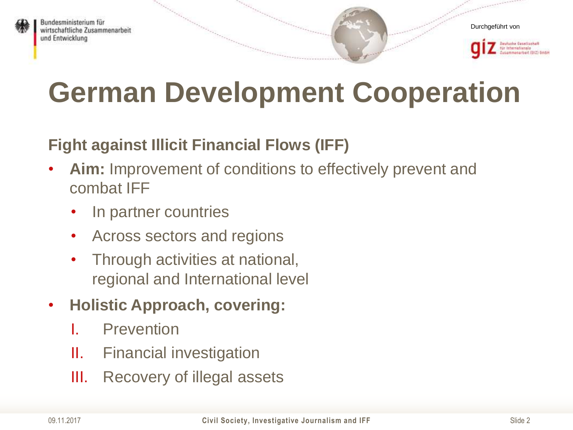

## **German Development Cooperation**

#### **Fight against Illicit Financial Flows (IFF)**

- **Aim:** Improvement of conditions to effectively prevent and combat IFF
	- In partner countries
	- Across sectors and regions
	- Through activities at national, regional and International level
- **Holistic Approach, covering:** 
	- **Prevention**
	- II. Financial investigation
	- III. Recovery of illegal assets

Durchgeführt von

**Deutsche Gesetlachaft** ir Internatismais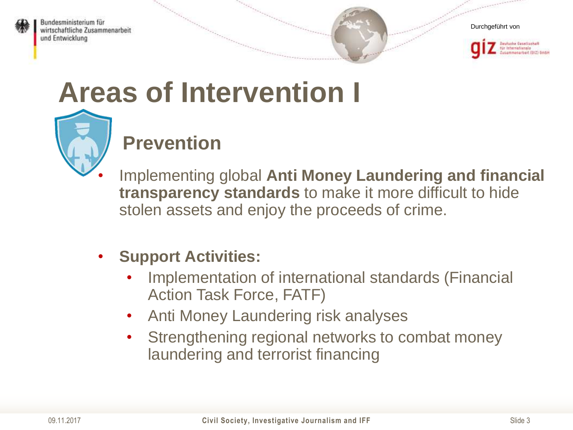





# **Areas of Intervention I**

![](_page_2_Picture_5.jpeg)

### **Prevention**

• Implementing global **Anti Money Laundering and financial transparency standards** to make it more difficult to hide stolen assets and enjoy the proceeds of crime.

#### • **Support Activities:**

- Implementation of international standards (Financial Action Task Force, FATF)
- Anti Money Laundering risk analyses
- Strengthening regional networks to combat money laundering and terrorist financing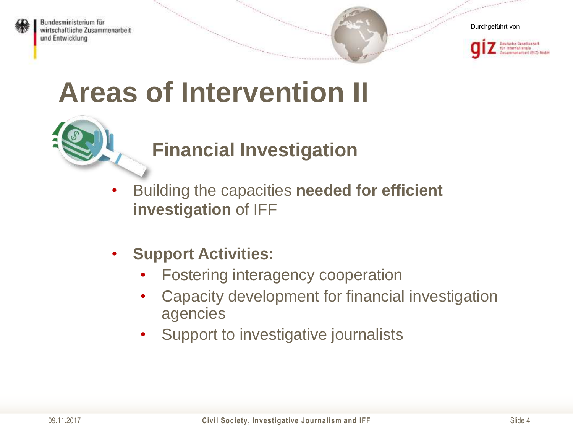![](_page_3_Picture_0.jpeg)

![](_page_3_Picture_2.jpeg)

![](_page_3_Picture_3.jpeg)

### **Areas of Intervention II**

#### **Financial Investigation**

- Building the capacities **needed for efficient investigation** of IFF
- **Support Activities:**
	- Fostering interagency cooperation
	- Capacity development for financial investigation agencies
	- Support to investigative journalists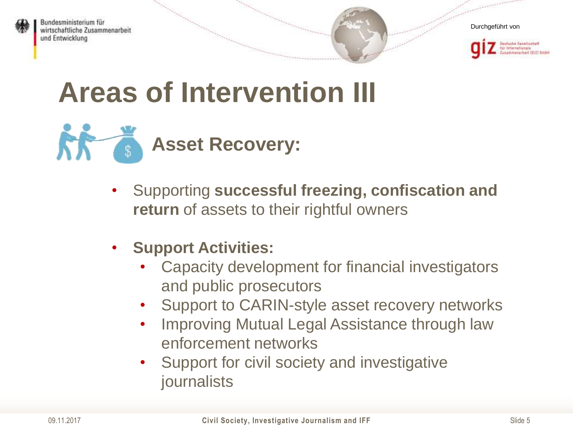![](_page_4_Picture_0.jpeg)

![](_page_4_Picture_2.jpeg)

![](_page_4_Picture_3.jpeg)

### **Areas of Intervention III**

![](_page_4_Picture_5.jpeg)

- Supporting **successful freezing, confiscation and return** of assets to their rightful owners
- **Support Activities:**
	- Capacity development for financial investigators and public prosecutors
	- Support to CARIN-style asset recovery networks
	- Improving Mutual Legal Assistance through law enforcement networks
	- Support for civil society and investigative journalists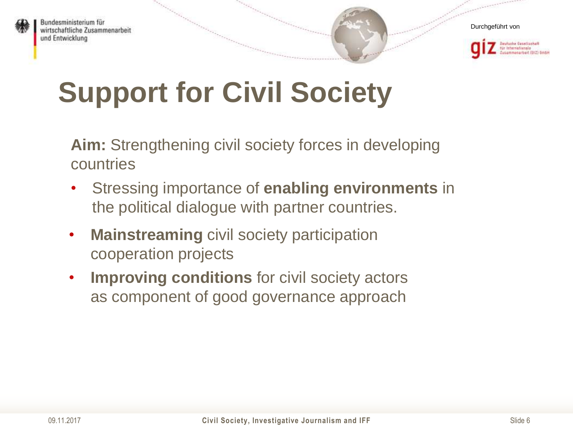![](_page_5_Picture_0.jpeg)

![](_page_5_Picture_2.jpeg)

# **Support for Civil Society**

**Aim:** Strengthening civil society forces in developing countries

- Stressing importance of **enabling environments** in the political dialogue with partner countries.
- **Mainstreaming** civil society participation cooperation projects
- **Improving conditions** for civil society actors as component of good governance approach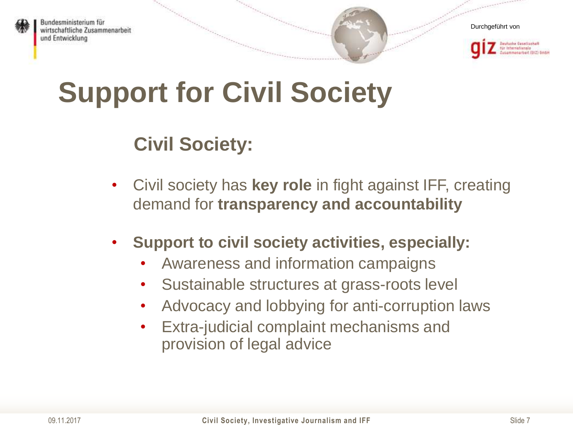![](_page_6_Picture_0.jpeg)

![](_page_6_Picture_2.jpeg)

ir Isternatismie

## **Support for Civil Society**

#### **Civil Society:**

- Civil society has **key role** in fight against IFF, creating demand for **transparency and accountability**
- **Support to civil society activities, especially:**
	- Awareness and information campaigns
	- Sustainable structures at grass-roots level
	- Advocacy and lobbying for anti-corruption laws
	- Extra-judicial complaint mechanisms and provision of legal advice